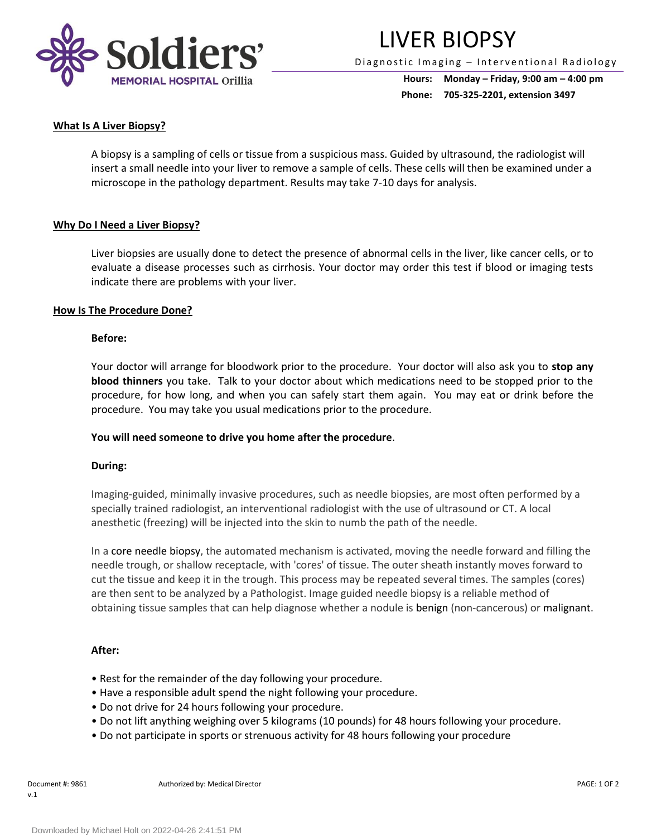

## LIVER BIOPSY

Diagnostic Imaging - Interventional Radiology

**Hours: Monday – Friday, 9:00 am – 4:00 pm Phone: 705-325-2201, extension 3497**

#### **What Is A Liver Biopsy?**

A biopsy is a sampling of cells or tissue from a suspicious mass. Guided by ultrasound, the radiologist will insert a small needle into your liver to remove a sample of cells. These cells will then be examined under a microscope in the pathology department. Results may take 7-10 days for analysis.

#### **Why Do I Need a Liver Biopsy?**

Liver biopsies are usually done to detect the presence of abnormal cells in the liver, like cancer cells, or to evaluate a disease processes such as cirrhosis. Your doctor may order this test if blood or imaging tests indicate there are problems with your liver.

#### **How Is The Procedure Done?**

#### **Before:**

Your doctor will arrange for bloodwork prior to the procedure. Your doctor will also ask you to **stop any blood thinners** you take. Talk to your doctor about which medications need to be stopped prior to the procedure, for how long, and when you can safely start them again. You may eat or drink before the procedure. You may take you usual medications prior to the procedure.

#### **You will need someone to drive you home after the procedure**.

#### **During:**

Imaging-guided, minimally invasive procedures, such as needle biopsies, are most often performed by a specially trained radiologist, an interventional radiologist with the use of ultrasound or CT. A local anesthetic (freezing) will be injected into the skin to numb the path of the needle.

In a core needle biopsy, the automated mechanism is activated, moving the needle forward and filling the needle trough, or shallow receptacle, with 'cores' of tissue. The outer sheath instantly moves forward to cut the tissue and keep it in the trough. This process may be repeated several times. The samples (cores) are then sent to be analyzed by a Pathologist. Image guided needle biopsy is a reliable method of obtaining tissue samples that can help diagnose whether a nodule is benign (non-cancerous) or malignant.

#### **After:**

- Rest for the remainder of the day following your procedure.
- Have a responsible adult spend the night following your procedure.
- Do not drive for 24 hours following your procedure.
- Do not lift anything weighing over 5 kilograms (10 pounds) for 48 hours following your procedure.
- Do not participate in sports or strenuous activity for 48 hours following your procedure